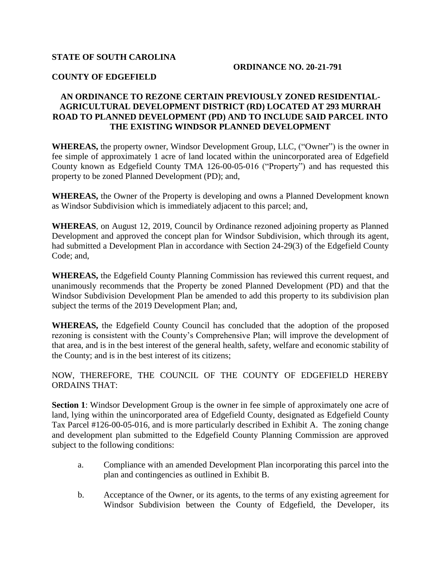## **STATE OF SOUTH CAROLINA**

#### **ORDINANCE NO. 20-21-791**

#### **COUNTY OF EDGEFIELD**

## **AN ORDINANCE TO REZONE CERTAIN PREVIOUSLY ZONED RESIDENTIAL-AGRICULTURAL DEVELOPMENT DISTRICT (RD) LOCATED AT 293 MURRAH ROAD TO PLANNED DEVELOPMENT (PD) AND TO INCLUDE SAID PARCEL INTO THE EXISTING WINDSOR PLANNED DEVELOPMENT**

**WHEREAS,** the property owner, Windsor Development Group, LLC, ("Owner") is the owner in fee simple of approximately 1 acre of land located within the unincorporated area of Edgefield County known as Edgefield County TMA 126-00-05-016 ("Property") and has requested this property to be zoned Planned Development (PD); and,

**WHEREAS,** the Owner of the Property is developing and owns a Planned Development known as Windsor Subdivision which is immediately adjacent to this parcel; and,

**WHEREAS**, on August 12, 2019, Council by Ordinance rezoned adjoining property as Planned Development and approved the concept plan for Windsor Subdivision, which through its agent, had submitted a Development Plan in accordance with Section 24-29(3) of the Edgefield County Code; and,

**WHEREAS,** the Edgefield County Planning Commission has reviewed this current request, and unanimously recommends that the Property be zoned Planned Development (PD) and that the Windsor Subdivision Development Plan be amended to add this property to its subdivision plan subject the terms of the 2019 Development Plan; and,

**WHEREAS,** the Edgefield County Council has concluded that the adoption of the proposed rezoning is consistent with the County's Comprehensive Plan; will improve the development of that area, and is in the best interest of the general health, safety, welfare and economic stability of the County; and is in the best interest of its citizens;

NOW, THEREFORE, THE COUNCIL OF THE COUNTY OF EDGEFIELD HEREBY ORDAINS THAT:

**Section 1**: Windsor Development Group is the owner in fee simple of approximately one acre of land, lying within the unincorporated area of Edgefield County, designated as Edgefield County Tax Parcel #126-00-05-016, and is more particularly described in Exhibit A. The zoning change and development plan submitted to the Edgefield County Planning Commission are approved subject to the following conditions:

- a. Compliance with an amended Development Plan incorporating this parcel into the plan and contingencies as outlined in Exhibit B.
- b. Acceptance of the Owner, or its agents, to the terms of any existing agreement for Windsor Subdivision between the County of Edgefield, the Developer, its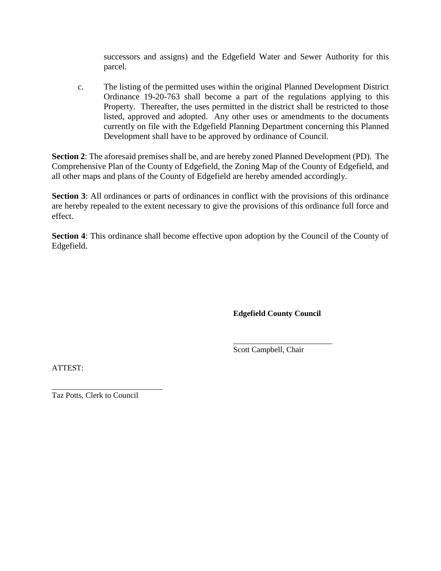successors and assigns) and the Edgefield Water and Sewer Authority for this parcel.

c. The listing of the permitted uses within the original Planned Development District Ordinance 19-20-763 shall become a part of the regulations applying to this Property. Thereafter, the uses permitted in the district shall be restricted to those listed, approved and adopted. Any other uses or amendments to the documents currently on file with the Edgefield Planning Department concerning this Planned Development shall have to be approved by ordinance of Council.

**Section 2**: The aforesaid premises shall be, and are hereby zoned Planned Development (PD). The Comprehensive Plan of the County of Edgefield, the Zoning Map of the County of Edgefield, and all other maps and plans of the County of Edgefield are hereby amended accordingly.

**Section 3**: All ordinances or parts of ordinances in conflict with the provisions of this ordinance are hereby repealed to the extent necessary to give the provisions of this ordinance full force and effect.

**Section 4**: This ordinance shall become effective upon adoption by the Council of the County of Edgefield.

**Edgefield County Council**

\_\_\_\_\_\_\_\_\_\_\_\_\_\_\_\_\_\_\_\_\_\_\_\_\_

Scott Campbell, Chair

ATTEST:

\_\_\_\_\_\_\_\_\_\_\_\_\_\_\_\_\_\_\_\_\_\_\_\_\_\_\_\_ Taz Potts, Clerk to Council